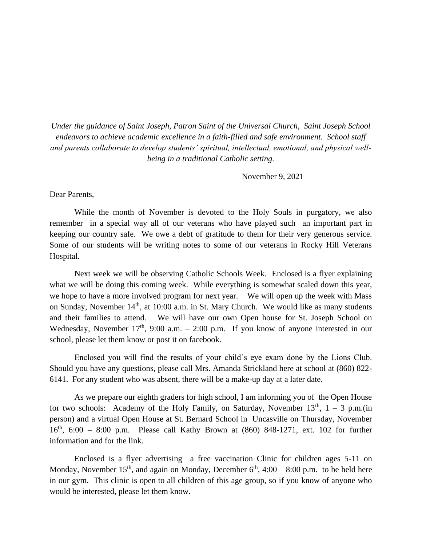*Under the guidance of Saint Joseph, Patron Saint of the Universal Church, Saint Joseph School endeavors to achieve academic excellence in a faith-filled and safe environment. School staff and parents collaborate to develop students' spiritual, intellectual, emotional, and physical wellbeing in a traditional Catholic setting.*

November 9, 2021

Dear Parents,

While the month of November is devoted to the Holy Souls in purgatory, we also remember in a special way all of our veterans who have played such an important part in keeping our country safe. We owe a debt of gratitude to them for their very generous service. Some of our students will be writing notes to some of our veterans in Rocky Hill Veterans Hospital.

Next week we will be observing Catholic Schools Week. Enclosed is a flyer explaining what we will be doing this coming week. While everything is somewhat scaled down this year, we hope to have a more involved program for next year. We will open up the week with Mass on Sunday, November 14<sup>th</sup>, at 10:00 a.m. in St. Mary Church. We would like as many students and their families to attend. We will have our own Open house for St. Joseph School on Wednesday, November  $17<sup>th</sup>$ , 9:00 a.m. – 2:00 p.m. If you know of anyone interested in our school, please let them know or post it on facebook.

Enclosed you will find the results of your child's eye exam done by the Lions Club. Should you have any questions, please call Mrs. Amanda Strickland here at school at (860) 822- 6141. For any student who was absent, there will be a make-up day at a later date.

As we prepare our eighth graders for high school, I am informing you of the Open House for two schools: Academy of the Holy Family, on Saturday, November  $13<sup>th</sup>$ ,  $1 - 3$  p.m.(in person) and a virtual Open House at St. Bernard School in Uncasville on Thursday, November  $16<sup>th</sup>$ , 6:00 – 8:00 p.m. Please call Kathy Brown at (860) 848-1271, ext. 102 for further information and for the link.

Enclosed is a flyer advertising a free vaccination Clinic for children ages 5-11 on Monday, November 15<sup>th</sup>, and again on Monday, December  $6<sup>th</sup>$ , 4:00 – 8:00 p.m. to be held here in our gym. This clinic is open to all children of this age group, so if you know of anyone who would be interested, please let them know.